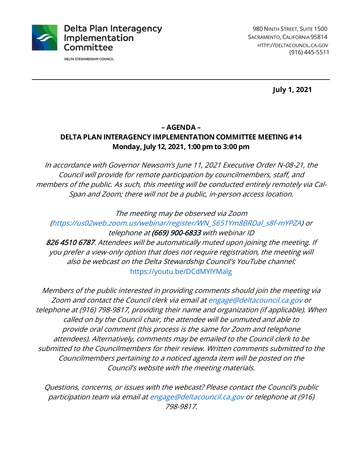

**DELTA STEWARDSHIP COUNCIL** 

**July 1, 2021**

#### **– AGENDA –**

## **DELTA PLAN INTERAGENCY IMPLEMENTATION COMMITTEE MEETING #14 Monday, July 12, 2021, 1:00 pm to 3:00 pm**

In accordance with Governor Newsom's June 11, 2021 Executive Order N-08-21, the Council will provide for remote participation by councilmembers, staff, and members of the public. As such, this meeting will be conducted entirely remotely via Cal-Span and Zoom; there will not be a public, in-person access location.

The meeting may be observed via Zoom

(https://us02web.zoom.us/webinar/register/WN\_S651Ym8BRDal\_s8f-mYPZA) or telephone at (669) 900-6833 with webinar ID

826 4510 6787. Attendees will be automatically muted upon joining the meeting. If you prefer a view-only option that does not require registration, the meeting will also be webcast on the Delta Stewardship Council's YouTube channel: https://youtu.be/DCdMYlYMalg

Members of the public interested in providing comments should join the meeting via Zoom and contact the Council clerk via email at engage@deltacouncil.ca.gov or telephone at (916) 798-9817, providing their name and organization (if applicable). When called on by the Council chair, the attendee will be unmuted and able to provide oral comment (this process is the same for Zoom and telephone attendees). Alternatively, comments may be emailed to the Council clerk to be submitted to the Councilmembers for their review. Written comments submitted to the Councilmembers pertaining to a noticed agenda item will be posted on the Council's website with the meeting materials.

Questions, concerns, or issues with the webcast? Please contact the Council's public participation team via email at engage@deltacouncil.ca.gov or telephone at (916) 798-9817.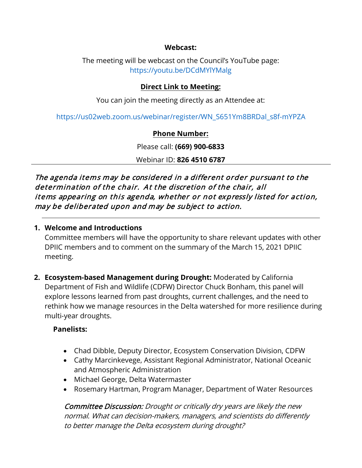#### **Webcast:**

The meeting will be webcast on the Council's YouTube page: https://youtu.be/DCdMYlYMalg

## **Direct Link to Meeting:**

You can join the meeting directly as an Attendee at:

https://us02web.zoom.us/webinar/register/WN\_S651Ym8BRDal\_s8f-mYPZA

## **Phone Number:**

Please call: **(669) 900-6833**

Webinar ID: **826 4510 6787**

The agenda items may be considered in a different order pursuant to the determination of the chair. At the discretion of the chair, all items appearing on this agenda, whether or not expressly listed for action, may be deliberated upon and may be subject to action.

### **1. Welcome and Introductions**

Committee members will have the opportunity to share relevant updates with other DPIIC members and to comment on the summary of the March 15, 2021 DPIIC meeting.

**2. Ecosystem-based Management during Drought:** Moderated by California Department of Fish and Wildlife (CDFW) Director Chuck Bonham, this panel will explore lessons learned from past droughts, current challenges, and the need to rethink how we manage resources in the Delta watershed for more resilience during multi-year droughts.

## **Panelists:**

- Chad Dibble, Deputy Director, Ecosystem Conservation Division, CDFW
- Cathy Marcinkevege, Assistant Regional Administrator, National Oceanic and Atmospheric Administration
- Michael George, Delta Watermaster
- Rosemary Hartman, Program Manager, Department of Water Resources

Committee Discussion: Drought or critically dry years are likely the new normal. What can decision-makers, managers, and scientists do differently to better manage the Delta ecosystem during drought?